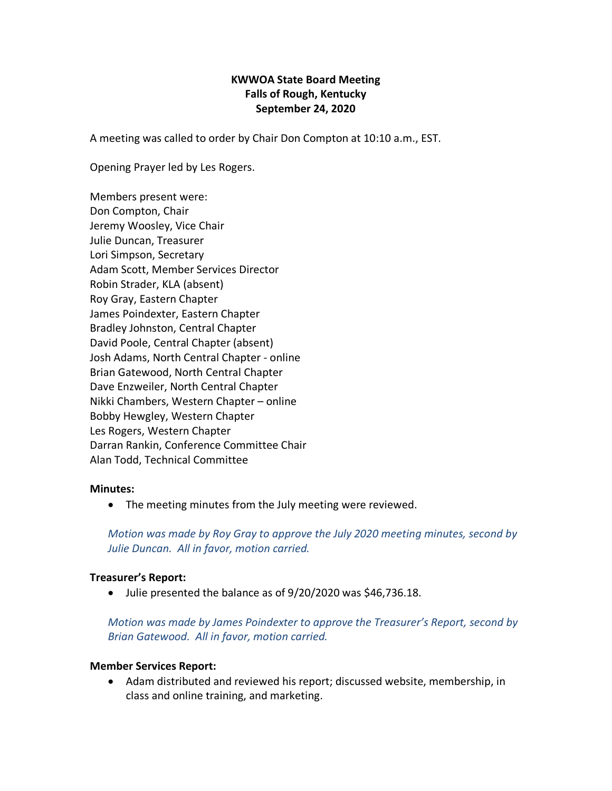# **KWWOA State Board Meeting Falls of Rough, Kentucky September 24, 2020**

A meeting was called to order by Chair Don Compton at 10:10 a.m., EST.

Opening Prayer led by Les Rogers.

Members present were: Don Compton, Chair Jeremy Woosley, Vice Chair Julie Duncan, Treasurer Lori Simpson, Secretary Adam Scott, Member Services Director Robin Strader, KLA (absent) Roy Gray, Eastern Chapter James Poindexter, Eastern Chapter Bradley Johnston, Central Chapter David Poole, Central Chapter (absent) Josh Adams, North Central Chapter - online Brian Gatewood, North Central Chapter Dave Enzweiler, North Central Chapter Nikki Chambers, Western Chapter – online Bobby Hewgley, Western Chapter Les Rogers, Western Chapter Darran Rankin, Conference Committee Chair Alan Todd, Technical Committee

### **Minutes:**

• The meeting minutes from the July meeting were reviewed.

*Motion was made by Roy Gray to approve the July 2020 meeting minutes, second by Julie Duncan. All in favor, motion carried.* 

### **Treasurer's Report:**

• Julie presented the balance as of 9/20/2020 was \$46,736.18.

*Motion was made by James Poindexter to approve the Treasurer's Report, second by Brian Gatewood. All in favor, motion carried.*

### **Member Services Report:**

• Adam distributed and reviewed his report; discussed website, membership, in class and online training, and marketing.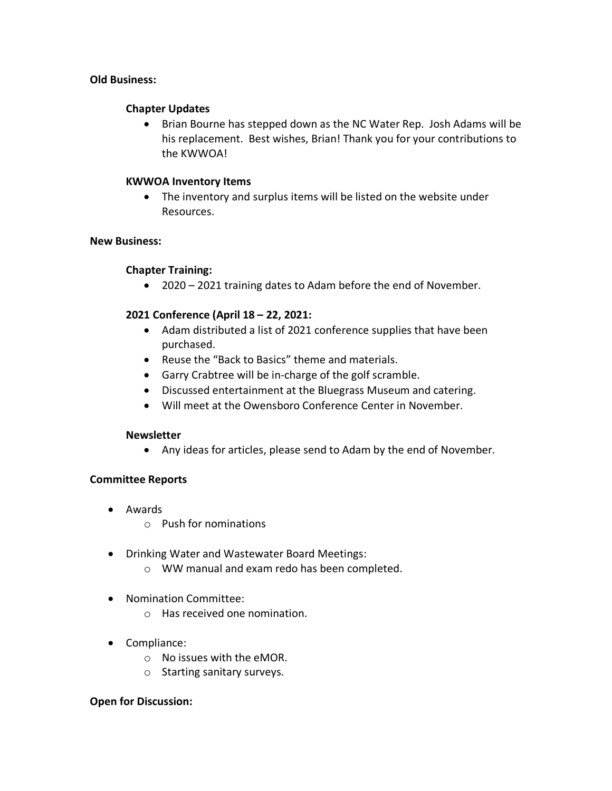### **Old Business:**

## **Chapter Updates**

• Brian Bourne has stepped down as the NC Water Rep. Josh Adams will be his replacement. Best wishes, Brian! Thank you for your contributions to the KWWOA!

### **KWWOA Inventory Items**

• The inventory and surplus items will be listed on the website under Resources.

## **New Business:**

## **Chapter Training:**

• 2020 – 2021 training dates to Adam before the end of November.

## **2021 Conference (April 18 – 22, 2021:**

- Adam distributed a list of 2021 conference supplies that have been purchased.
- Reuse the "Back to Basics" theme and materials.
- Garry Crabtree will be in-charge of the golf scramble.
- Discussed entertainment at the Bluegrass Museum and catering.
- Will meet at the Owensboro Conference Center in November.

### **Newsletter**

• Any ideas for articles, please send to Adam by the end of November.

# **Committee Reports**

- Awards
	- o Push for nominations
- Drinking Water and Wastewater Board Meetings:
	- o WW manual and exam redo has been completed.
- Nomination Committee:
	- o Has received one nomination.
- Compliance:
	- o No issues with the eMOR.
	- o Starting sanitary surveys.

### **Open for Discussion:**